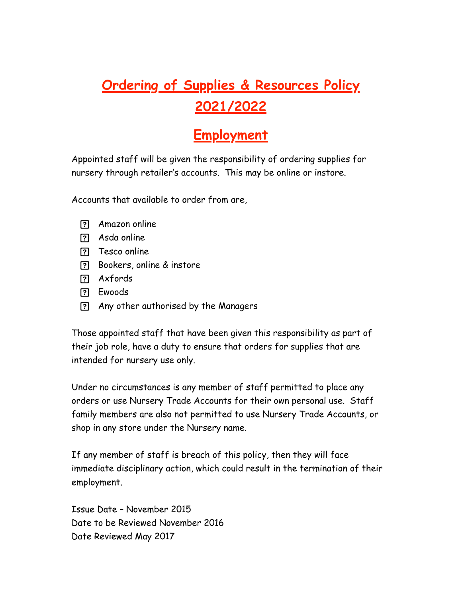## **Ordering of Supplies & Resources Policy 2021/2022**

## **Employment**

Appointed staff will be given the responsibility of ordering supplies for nursery through retailer's accounts. This may be online or instore.

Accounts that available to order from are,

- Amazon online
- Asda online
- **T**esco online
- Bookers, online & instore
- Axfords
- Ewoods
- Any other authorised by the Managers

Those appointed staff that have been given this responsibility as part of their job role, have a duty to ensure that orders for supplies that are intended for nursery use only.

Under no circumstances is any member of staff permitted to place any orders or use Nursery Trade Accounts for their own personal use. Staff family members are also not permitted to use Nursery Trade Accounts, or shop in any store under the Nursery name.

If any member of staff is breach of this policy, then they will face immediate disciplinary action, which could result in the termination of their employment.

Issue Date – November 2015 Date to be Reviewed November 2016 Date Reviewed May 2017